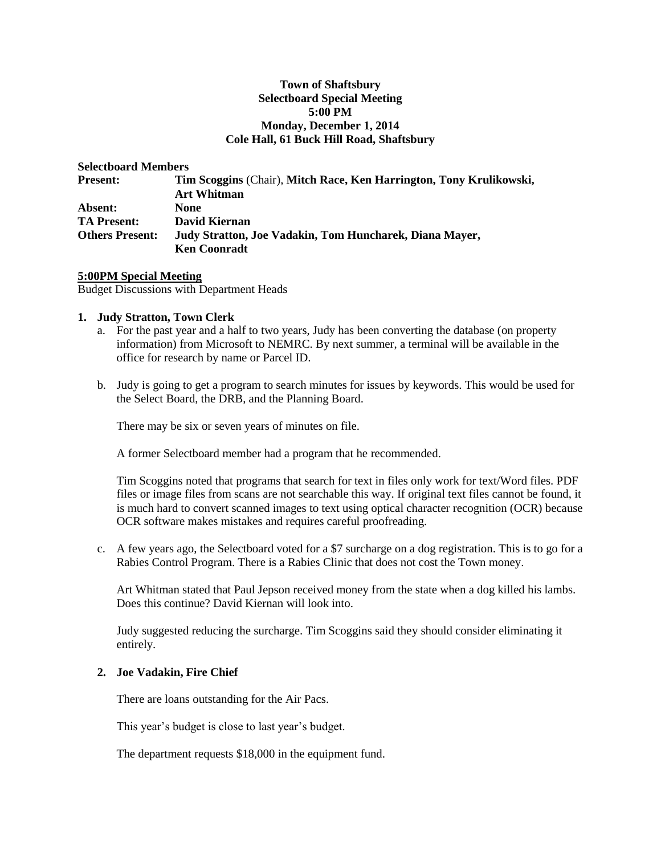#### **Town of Shaftsbury Selectboard Special Meeting 5:00 PM Monday, December 1, 2014 Cole Hall, 61 Buck Hill Road, Shaftsbury**

| <b>Selectboard Members</b>                                                                |  |
|-------------------------------------------------------------------------------------------|--|
| Tim Scoggins (Chair), Mitch Race, Ken Harrington, Tony Krulikowski,<br><b>Art Whitman</b> |  |
| <b>None</b>                                                                               |  |
| David Kiernan                                                                             |  |
| Judy Stratton, Joe Vadakin, Tom Huncharek, Diana Mayer,<br><b>Ken Coonradt</b>            |  |
|                                                                                           |  |

**5:00PM Special Meeting** Budget Discussions with Department Heads

#### **1. Judy Stratton, Town Clerk**

- a. For the past year and a half to two years, Judy has been converting the database (on property information) from Microsoft to NEMRC. By next summer, a terminal will be available in the office for research by name or Parcel ID.
- b. Judy is going to get a program to search minutes for issues by keywords. This would be used for the Select Board, the DRB, and the Planning Board.

There may be six or seven years of minutes on file.

A former Selectboard member had a program that he recommended.

Tim Scoggins noted that programs that search for text in files only work for text/Word files. PDF files or image files from scans are not searchable this way. If original text files cannot be found, it is much hard to convert scanned images to text using optical character recognition (OCR) because OCR software makes mistakes and requires careful proofreading.

c. A few years ago, the Selectboard voted for a \$7 surcharge on a dog registration. This is to go for a Rabies Control Program. There is a Rabies Clinic that does not cost the Town money.

Art Whitman stated that Paul Jepson received money from the state when a dog killed his lambs. Does this continue? David Kiernan will look into.

Judy suggested reducing the surcharge. Tim Scoggins said they should consider eliminating it entirely.

#### **2. Joe Vadakin, Fire Chief**

There are loans outstanding for the Air Pacs.

This year's budget is close to last year's budget.

The department requests \$18,000 in the equipment fund.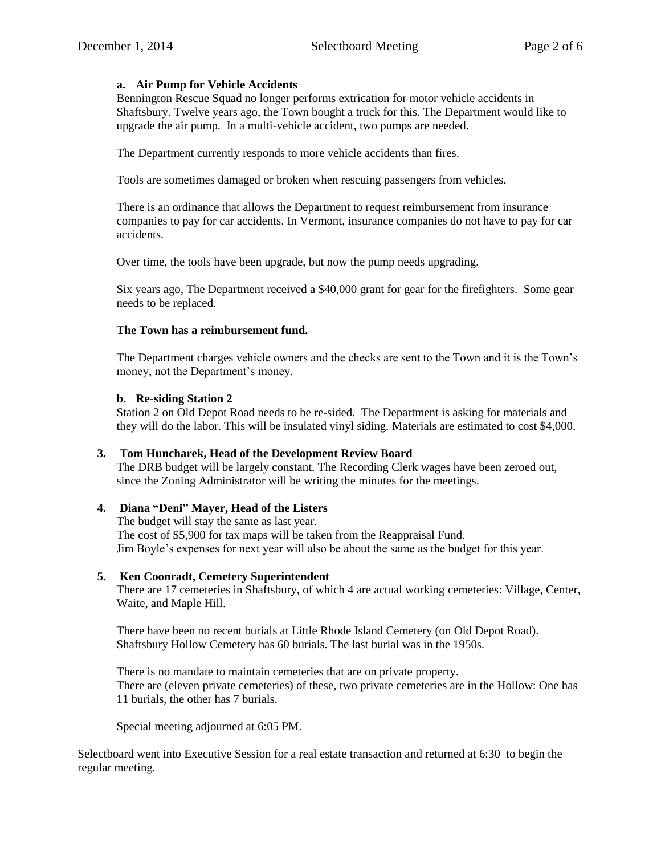# **a. Air Pump for Vehicle Accidents**

Bennington Rescue Squad no longer performs extrication for motor vehicle accidents in Shaftsbury. Twelve years ago, the Town bought a truck for this. The Department would like to upgrade the air pump. In a multi-vehicle accident, two pumps are needed.

The Department currently responds to more vehicle accidents than fires.

Tools are sometimes damaged or broken when rescuing passengers from vehicles.

There is an ordinance that allows the Department to request reimbursement from insurance companies to pay for car accidents. In Vermont, insurance companies do not have to pay for car accidents.

Over time, the tools have been upgrade, but now the pump needs upgrading.

Six years ago, The Department received a \$40,000 grant for gear for the firefighters. Some gear needs to be replaced.

# **The Town has a reimbursement fund.**

The Department charges vehicle owners and the checks are sent to the Town and it is the Town's money, not the Department's money.

## **b. Re-siding Station 2**

Station 2 on Old Depot Road needs to be re-sided. The Department is asking for materials and they will do the labor. This will be insulated vinyl siding. Materials are estimated to cost \$4,000.

## **3. Tom Huncharek, Head of the Development Review Board**

The DRB budget will be largely constant. The Recording Clerk wages have been zeroed out, since the Zoning Administrator will be writing the minutes for the meetings.

## **4. Diana "Deni" Mayer, Head of the Listers**

The budget will stay the same as last year. The cost of \$5,900 for tax maps will be taken from the Reappraisal Fund. Jim Boyle's expenses for next year will also be about the same as the budget for this year.

## **5. Ken Coonradt, Cemetery Superintendent**

There are 17 cemeteries in Shaftsbury, of which 4 are actual working cemeteries: Village, Center, Waite, and Maple Hill.

There have been no recent burials at Little Rhode Island Cemetery (on Old Depot Road). Shaftsbury Hollow Cemetery has 60 burials. The last burial was in the 1950s.

There is no mandate to maintain cemeteries that are on private property. There are (eleven private cemeteries) of these, two private cemeteries are in the Hollow: One has 11 burials, the other has 7 burials.

Special meeting adjourned at 6:05 PM.

Selectboard went into Executive Session for a real estate transaction and returned at 6:30 to begin the regular meeting.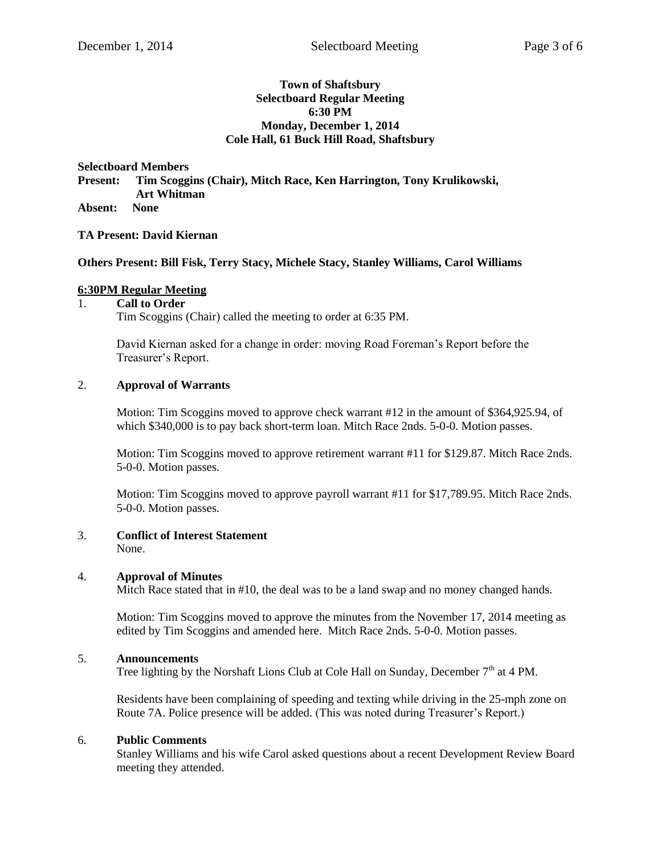## **Town of Shaftsbury Selectboard Regular Meeting 6:30 PM Monday, December 1, 2014 Cole Hall, 61 Buck Hill Road, Shaftsbury**

**Selectboard Members Present: Tim Scoggins (Chair), Mitch Race, Ken Harrington, Tony Krulikowski, Art Whitman Absent: None**

## **TA Present: David Kiernan**

#### **Others Present: Bill Fisk, Terry Stacy, Michele Stacy, Stanley Williams, Carol Williams**

#### **6:30PM Regular Meeting**

# 1. **Call to Order**

Tim Scoggins (Chair) called the meeting to order at 6:35 PM.

David Kiernan asked for a change in order: moving Road Foreman's Report before the Treasurer's Report.

#### 2. **Approval of Warrants**

Motion: Tim Scoggins moved to approve check warrant #12 in the amount of \$364,925.94, of which \$340,000 is to pay back short-term loan. Mitch Race 2nds. 5-0-0. Motion passes.

Motion: Tim Scoggins moved to approve retirement warrant #11 for \$129.87. Mitch Race 2nds. 5-0-0. Motion passes.

Motion: Tim Scoggins moved to approve payroll warrant #11 for \$17,789.95. Mitch Race 2nds. 5-0-0. Motion passes.

#### 3. **Conflict of Interest Statement**

None.

#### 4. **Approval of Minutes**

Mitch Race stated that in #10, the deal was to be a land swap and no money changed hands.

Motion: Tim Scoggins moved to approve the minutes from the November 17, 2014 meeting as edited by Tim Scoggins and amended here. Mitch Race 2nds. 5-0-0. Motion passes.

## 5. **Announcements**

Tree lighting by the Norshaft Lions Club at Cole Hall on Sunday, December  $7<sup>th</sup>$  at 4 PM.

Residents have been complaining of speeding and texting while driving in the 25-mph zone on Route 7A. Police presence will be added. (This was noted during Treasurer's Report.)

#### 6. **Public Comments**

Stanley Williams and his wife Carol asked questions about a recent Development Review Board meeting they attended.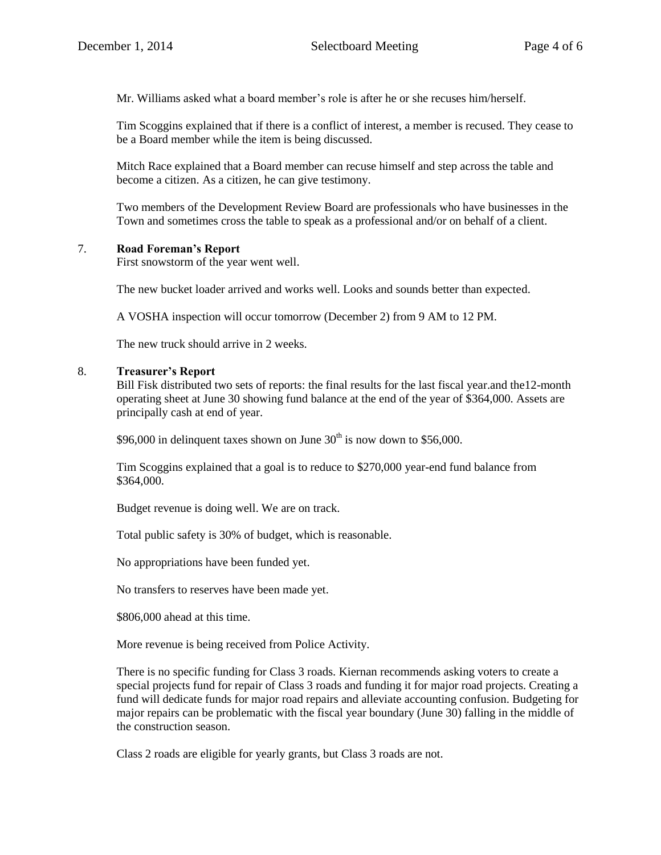Mr. Williams asked what a board member's role is after he or she recuses him/herself.

Tim Scoggins explained that if there is a conflict of interest, a member is recused. They cease to be a Board member while the item is being discussed.

Mitch Race explained that a Board member can recuse himself and step across the table and become a citizen. As a citizen, he can give testimony.

Two members of the Development Review Board are professionals who have businesses in the Town and sometimes cross the table to speak as a professional and/or on behalf of a client.

# 7. **Road Foreman's Report**

First snowstorm of the year went well.

The new bucket loader arrived and works well. Looks and sounds better than expected.

A VOSHA inspection will occur tomorrow (December 2) from 9 AM to 12 PM.

The new truck should arrive in 2 weeks.

## 8. **Treasurer's Report**

Bill Fisk distributed two sets of reports: the final results for the last fiscal year.and the12-month operating sheet at June 30 showing fund balance at the end of the year of \$364,000. Assets are principally cash at end of year.

\$96,000 in delinquent taxes shown on June  $30<sup>th</sup>$  is now down to \$56,000.

Tim Scoggins explained that a goal is to reduce to \$270,000 year-end fund balance from \$364,000.

Budget revenue is doing well. We are on track.

Total public safety is 30% of budget, which is reasonable.

No appropriations have been funded yet.

No transfers to reserves have been made yet.

\$806,000 ahead at this time.

More revenue is being received from Police Activity.

There is no specific funding for Class 3 roads. Kiernan recommends asking voters to create a special projects fund for repair of Class 3 roads and funding it for major road projects. Creating a fund will dedicate funds for major road repairs and alleviate accounting confusion. Budgeting for major repairs can be problematic with the fiscal year boundary (June 30) falling in the middle of the construction season.

Class 2 roads are eligible for yearly grants, but Class 3 roads are not.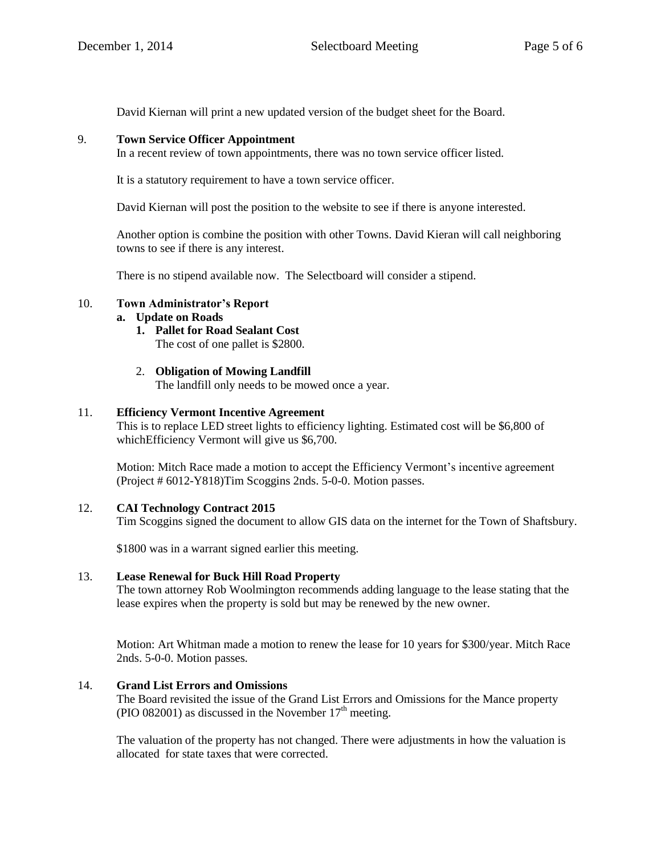David Kiernan will print a new updated version of the budget sheet for the Board.

## 9. **Town Service Officer Appointment**

In a recent review of town appointments, there was no town service officer listed.

It is a statutory requirement to have a town service officer.

David Kiernan will post the position to the website to see if there is anyone interested.

Another option is combine the position with other Towns. David Kieran will call neighboring towns to see if there is any interest.

There is no stipend available now. The Selectboard will consider a stipend.

## 10. **Town Administrator's Report**

## **a. Update on Roads**

- **1. Pallet for Road Sealant Cost** The cost of one pallet is \$2800.
- 2. **Obligation of Mowing Landfill**

The landfill only needs to be mowed once a year.

## 11. **Efficiency Vermont Incentive Agreement**

This is to replace LED street lights to efficiency lighting. Estimated cost will be \$6,800 of which Efficiency Vermont will give us \$6,700.

Motion: Mitch Race made a motion to accept the Efficiency Vermont's incentive agreement (Project # 6012-Y818)Tim Scoggins 2nds. 5-0-0. Motion passes.

## 12. **CAI Technology Contract 2015**

Tim Scoggins signed the document to allow GIS data on the internet for the Town of Shaftsbury.

\$1800 was in a warrant signed earlier this meeting.

## 13. **Lease Renewal for Buck Hill Road Property**

The town attorney Rob Woolmington recommends adding language to the lease stating that the lease expires when the property is sold but may be renewed by the new owner.

Motion: Art Whitman made a motion to renew the lease for 10 years for \$300/year. Mitch Race 2nds. 5-0-0. Motion passes.

## 14. **Grand List Errors and Omissions**

The Board revisited the issue of the Grand List Errors and Omissions for the Mance property (PIO 082001) as discussed in the November  $17<sup>th</sup>$  meeting.

The valuation of the property has not changed. There were adjustments in how the valuation is allocated for state taxes that were corrected.